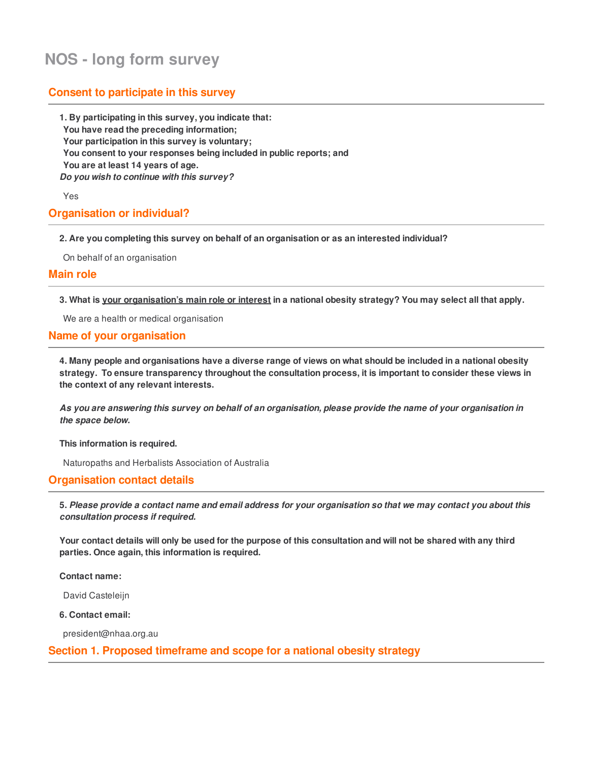# **NOS - long form survey**

# **Consent to participate in this survey**

**1. By participating in this survey, you indicate that: You have read the preceding information; Your participation in this survey is voluntary; You consent to your responses being included in public reports; and You are at least 14 years of age.** *Do you wish to continue with this survey?*

Yes

### **Organisation or individual?**

**2. Are you completing this survey on behalf of an organisation or as an interested individual?**

On behalf of an organisation

### **Main role**

3. What is your organisation's main role or interest in a national obesity strategy? You may select all that apply.

We are a health or medical organisation

### **Name of your organisation**

4. Many people and organisations have a diverse range of views on what should be included in a national obesity **strategy. To ensure transparency throughout the consultation process, it is important to consider these views in the context of any relevant interests.**

As you are answering this survey on behalf of an organisation, please provide the name of your organisation in *the space below.*

**This information is required.**

Naturopaths and Herbalists Association of Australia

### **Organisation contact details**

5. Please provide a contact name and email address for your organisation so that we may contact you about this *consultation process if required.*

Your contact details will only be used for the purpose of this consultation and will not be shared with any third **parties. Once again, this information is required.**

**Contact name:**

David Casteleijn

**6. Contact email:**

president@nhaa.org.au

### **Section 1. Proposed timeframe and scope for a national obesity strategy**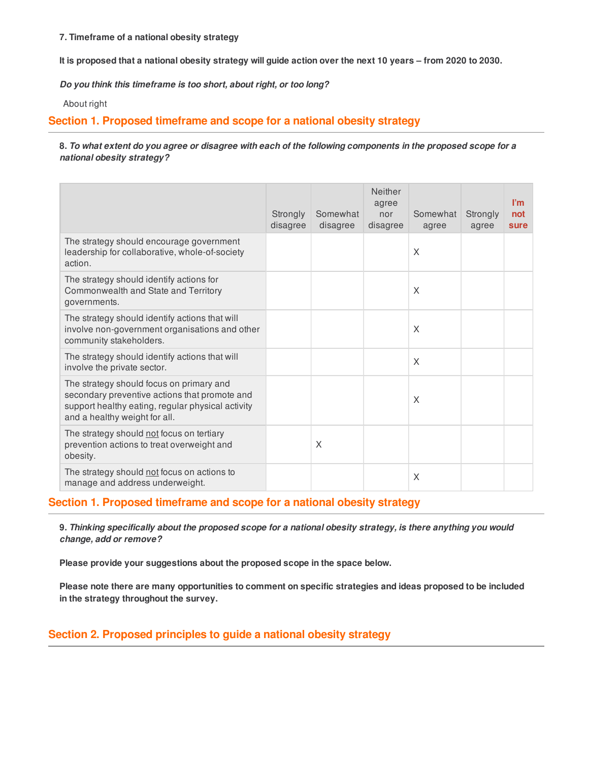### **7. Timeframe of a national obesity strategy**

It is proposed that a national obesity strategy will guide action over the next 10 years - from 2020 to 2030.

*Do you think this timeframe is too short, about right, or too long?*

About right

### **Section 1. Proposed timeframe and scope for a national obesity strategy**

### 8. To what extent do you agree or disagree with each of the following components in the proposed scope for a *national obesity strategy?*

|                                                                                                                                                                                 | Strongly<br>disagree | Somewhat<br>disagree | Neither<br>agree<br>nor<br>disagree | Somewhat<br>agree | Strongly<br>agree | l'm<br>not<br>sure |
|---------------------------------------------------------------------------------------------------------------------------------------------------------------------------------|----------------------|----------------------|-------------------------------------|-------------------|-------------------|--------------------|
| The strategy should encourage government<br>leadership for collaborative, whole-of-society<br>action.                                                                           |                      |                      |                                     | X                 |                   |                    |
| The strategy should identify actions for<br>Commonwealth and State and Territory<br>governments.                                                                                |                      |                      |                                     | X                 |                   |                    |
| The strategy should identify actions that will<br>involve non-government organisations and other<br>community stakeholders.                                                     |                      |                      |                                     | X                 |                   |                    |
| The strategy should identify actions that will<br>involve the private sector.                                                                                                   |                      |                      |                                     | X                 |                   |                    |
| The strategy should focus on primary and<br>secondary preventive actions that promote and<br>support healthy eating, regular physical activity<br>and a healthy weight for all. |                      |                      |                                     | X                 |                   |                    |
| The strategy should not focus on tertiary<br>prevention actions to treat overweight and<br>obesity.                                                                             |                      | X                    |                                     |                   |                   |                    |
| The strategy should not focus on actions to<br>manage and address underweight.                                                                                                  |                      |                      |                                     | X                 |                   |                    |

### **Section 1. Proposed timeframe and scope for a national obesity strategy**

9. Thinking specifically about the proposed scope for a national obesity strategy, is there anything you would *change, add or remove?*

**Please provide your suggestions about the proposed scope in the space below.**

Please note there are many opportunities to comment on specific strategies and ideas proposed to be included **in the strategy throughout the survey.**

# **Section 2. Proposed principles to guide a national obesity strategy**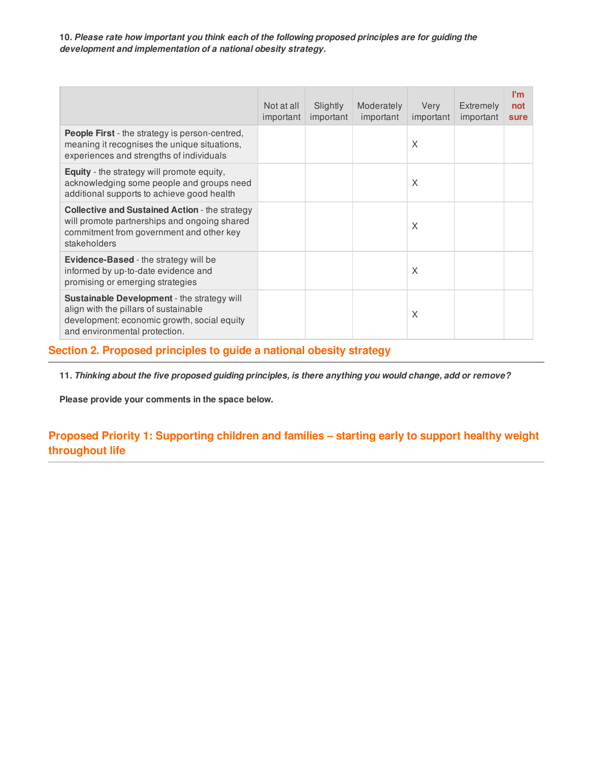**10.** *Please rate how important you think each of the following proposed principles are for guiding the development and implementation of a national obesity strategy.*

|                                                                                                                                                                             | Not at all<br>important | Slightly<br>important | Moderately<br>important | Very<br>important | Extremely<br>important | l'm<br>not<br>sure |
|-----------------------------------------------------------------------------------------------------------------------------------------------------------------------------|-------------------------|-----------------------|-------------------------|-------------------|------------------------|--------------------|
| <b>People First</b> - the strategy is person-centred,<br>meaning it recognises the unique situations,<br>experiences and strengths of individuals                           |                         |                       |                         | X                 |                        |                    |
| Equity - the strategy will promote equity,<br>acknowledging some people and groups need<br>additional supports to achieve good health                                       |                         |                       |                         | X                 |                        |                    |
| <b>Collective and Sustained Action - the strategy</b><br>will promote partnerships and ongoing shared<br>commitment from government and other key<br>stakeholders           |                         |                       |                         | X                 |                        |                    |
| Evidence-Based - the strategy will be<br>informed by up-to-date evidence and<br>promising or emerging strategies                                                            |                         |                       |                         | X                 |                        |                    |
| <b>Sustainable Development</b> - the strategy will<br>align with the pillars of sustainable<br>development: economic growth, social equity<br>and environmental protection. |                         |                       |                         | X                 |                        |                    |

# **Section 2. Proposed principles to guide a national obesity strategy**

11. Thinking about the five proposed guiding principles, is there anything you would change, add or remove?

**Please provide your comments in the space below.**

# **Proposed Priority 1: Supporting children and families – starting early to support healthy weight throughout life**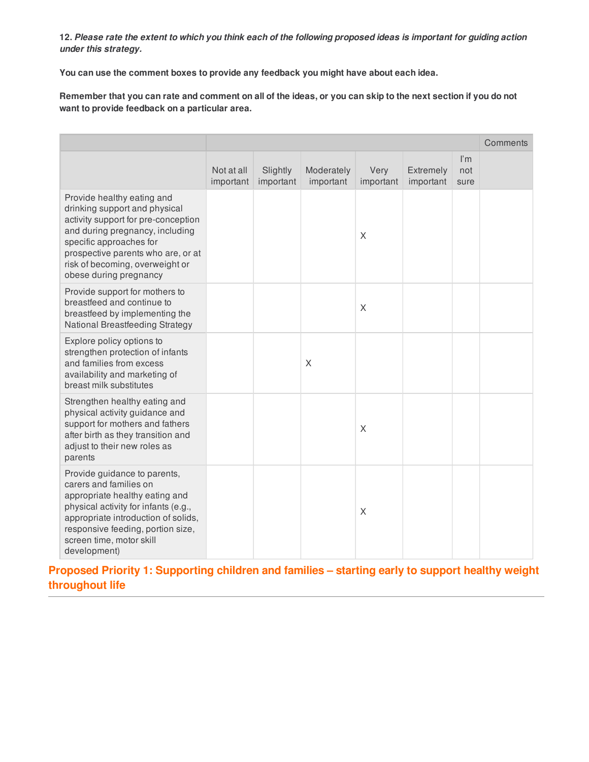**You can use the comment boxes to provide any feedback you might have about each idea.**

Remember that you can rate and comment on all of the ideas, or you can skip to the next section if you do not **want to provide feedback on a particular area.**

|                                                                                                                                                                                                                                                                     |                         |                       |                         |                   |                        |                                        | Comments |
|---------------------------------------------------------------------------------------------------------------------------------------------------------------------------------------------------------------------------------------------------------------------|-------------------------|-----------------------|-------------------------|-------------------|------------------------|----------------------------------------|----------|
|                                                                                                                                                                                                                                                                     | Not at all<br>important | Slightly<br>important | Moderately<br>important | Very<br>important | Extremely<br>important | $\mathsf{I}'\mathsf{m}$<br>not<br>sure |          |
| Provide healthy eating and<br>drinking support and physical<br>activity support for pre-conception<br>and during pregnancy, including<br>specific approaches for<br>prospective parents who are, or at<br>risk of becoming, overweight or<br>obese during pregnancy |                         |                       |                         | X                 |                        |                                        |          |
| Provide support for mothers to<br>breastfeed and continue to<br>breastfeed by implementing the<br>National Breastfeeding Strategy                                                                                                                                   |                         |                       |                         | X                 |                        |                                        |          |
| Explore policy options to<br>strengthen protection of infants<br>and families from excess<br>availability and marketing of<br>breast milk substitutes                                                                                                               |                         |                       | X                       |                   |                        |                                        |          |
| Strengthen healthy eating and<br>physical activity guidance and<br>support for mothers and fathers<br>after birth as they transition and<br>adjust to their new roles as<br>parents                                                                                 |                         |                       |                         | X                 |                        |                                        |          |
| Provide guidance to parents,<br>carers and families on<br>appropriate healthy eating and<br>physical activity for infants (e.g.,<br>appropriate introduction of solids,<br>responsive feeding, portion size,<br>screen time, motor skill<br>development)            |                         |                       |                         | X                 |                        |                                        |          |

**Proposed Priority 1: Supporting children and families – starting early to support healthy weight throughout life**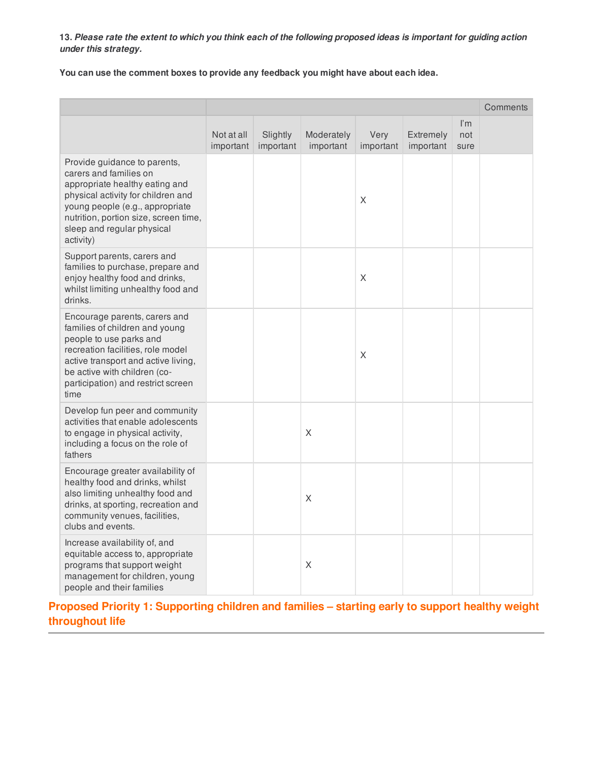**You can use the comment boxes to provide any feedback you might have about each idea.**

|                                                                                                                                                                                                                                                       |                         |                       |                         |                   |                        |                                        | Comments |
|-------------------------------------------------------------------------------------------------------------------------------------------------------------------------------------------------------------------------------------------------------|-------------------------|-----------------------|-------------------------|-------------------|------------------------|----------------------------------------|----------|
|                                                                                                                                                                                                                                                       | Not at all<br>important | Slightly<br>important | Moderately<br>important | Very<br>important | Extremely<br>important | $\mathsf{I}'\mathsf{m}$<br>not<br>sure |          |
| Provide guidance to parents,<br>carers and families on<br>appropriate healthy eating and<br>physical activity for children and<br>young people (e.g., appropriate<br>nutrition, portion size, screen time,<br>sleep and regular physical<br>activity) |                         |                       |                         | X                 |                        |                                        |          |
| Support parents, carers and<br>families to purchase, prepare and<br>enjoy healthy food and drinks,<br>whilst limiting unhealthy food and<br>drinks.                                                                                                   |                         |                       |                         | X                 |                        |                                        |          |
| Encourage parents, carers and<br>families of children and young<br>people to use parks and<br>recreation facilities, role model<br>active transport and active living,<br>be active with children (co-<br>participation) and restrict screen<br>time  |                         |                       |                         | $\mathsf X$       |                        |                                        |          |
| Develop fun peer and community<br>activities that enable adolescents<br>to engage in physical activity,<br>including a focus on the role of<br>fathers                                                                                                |                         |                       | X                       |                   |                        |                                        |          |
| Encourage greater availability of<br>healthy food and drinks, whilst<br>also limiting unhealthy food and<br>drinks, at sporting, recreation and<br>community venues, facilities,<br>clubs and events.                                                 |                         |                       | $\mathsf X$             |                   |                        |                                        |          |
| Increase availability of, and<br>equitable access to, appropriate<br>programs that support weight<br>management for children, young<br>people and their families                                                                                      |                         |                       | X                       |                   |                        |                                        |          |

**Proposed Priority 1: Supporting children and families – starting early to support healthy weight throughout life**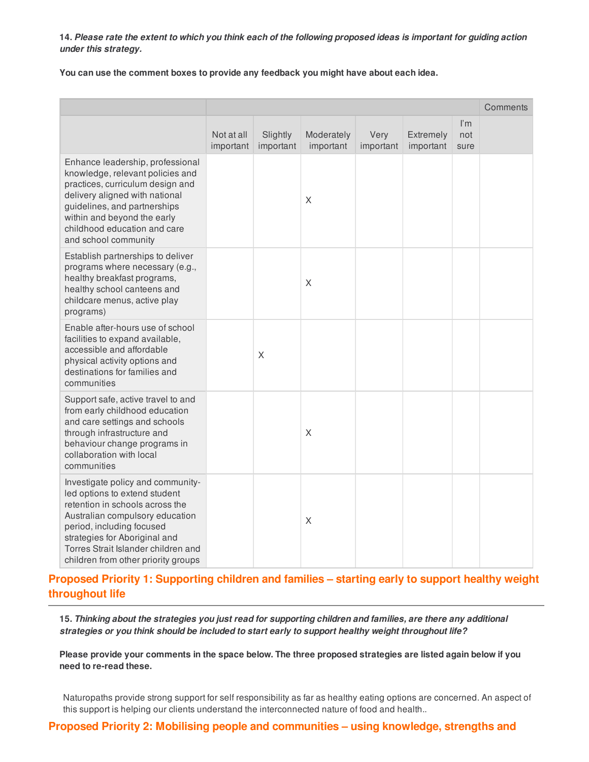**You can use the comment boxes to provide any feedback you might have about each idea.**

|                                                                                                                                                                                                                                                                                      |                         |                       |                         |                   |                        |                                        | Comments |
|--------------------------------------------------------------------------------------------------------------------------------------------------------------------------------------------------------------------------------------------------------------------------------------|-------------------------|-----------------------|-------------------------|-------------------|------------------------|----------------------------------------|----------|
|                                                                                                                                                                                                                                                                                      | Not at all<br>important | Slightly<br>important | Moderately<br>important | Very<br>important | Extremely<br>important | $\mathsf{I}'\mathsf{m}$<br>not<br>sure |          |
| Enhance leadership, professional<br>knowledge, relevant policies and<br>practices, curriculum design and<br>delivery aligned with national<br>guidelines, and partnerships<br>within and beyond the early<br>childhood education and care<br>and school community                    |                         |                       | X                       |                   |                        |                                        |          |
| Establish partnerships to deliver<br>programs where necessary (e.g.,<br>healthy breakfast programs,<br>healthy school canteens and<br>childcare menus, active play<br>programs)                                                                                                      |                         |                       | X                       |                   |                        |                                        |          |
| Enable after-hours use of school<br>facilities to expand available,<br>accessible and affordable<br>physical activity options and<br>destinations for families and<br>communities                                                                                                    |                         | Χ                     |                         |                   |                        |                                        |          |
| Support safe, active travel to and<br>from early childhood education<br>and care settings and schools<br>through infrastructure and<br>behaviour change programs in<br>collaboration with local<br>communities                                                                       |                         |                       | X                       |                   |                        |                                        |          |
| Investigate policy and community-<br>led options to extend student<br>retention in schools across the<br>Australian compulsory education<br>period, including focused<br>strategies for Aboriginal and<br>Torres Strait Islander children and<br>children from other priority groups |                         |                       | $\mathsf X$             |                   |                        |                                        |          |

**Proposed Priority 1: Supporting children and families – starting early to support healthy weight throughout life**

15. Thinking about the strategies you just read for supporting children and families, are there any additional *strategies or you think should be included to start early to support healthy weight throughout life?*

Please provide your comments in the space below. The three proposed strategies are listed again below if you **need to re-read these.**

Naturopaths provide strong support for self responsibility as far as healthy eating options are concerned. An aspect of this support is helping our clients understand the interconnected nature of food and health..

**Proposed Priority 2: Mobilising people and communities – using knowledge, strengths and**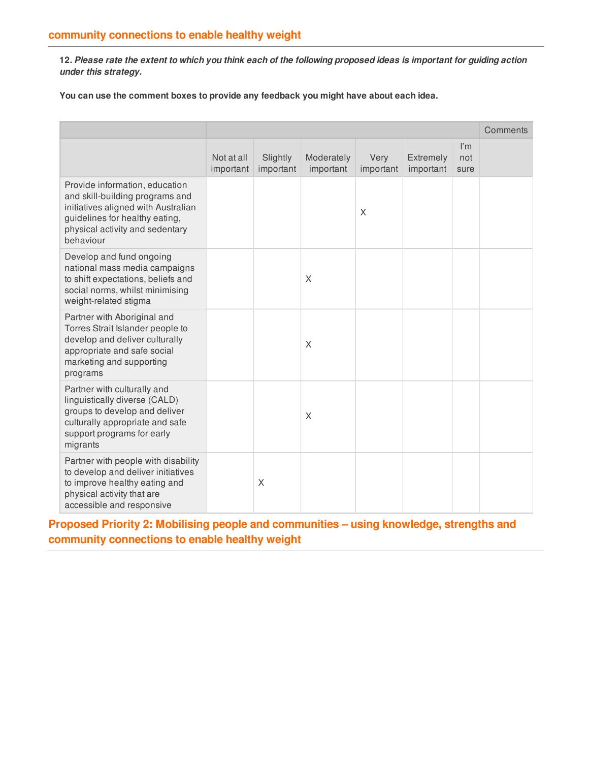**You can use the comment boxes to provide any feedback you might have about each idea.**

|                                                                                                                                                                                            |                         |                       |                         |                   |                        |                                        | Comments |
|--------------------------------------------------------------------------------------------------------------------------------------------------------------------------------------------|-------------------------|-----------------------|-------------------------|-------------------|------------------------|----------------------------------------|----------|
|                                                                                                                                                                                            | Not at all<br>important | Slightly<br>important | Moderately<br>important | Very<br>important | Extremely<br>important | $\mathsf{I}'\mathsf{m}$<br>not<br>sure |          |
| Provide information, education<br>and skill-building programs and<br>initiatives aligned with Australian<br>guidelines for healthy eating,<br>physical activity and sedentary<br>behaviour |                         |                       |                         | X                 |                        |                                        |          |
| Develop and fund ongoing<br>national mass media campaigns<br>to shift expectations, beliefs and<br>social norms, whilst minimising<br>weight-related stigma                                |                         |                       | X                       |                   |                        |                                        |          |
| Partner with Aboriginal and<br>Torres Strait Islander people to<br>develop and deliver culturally<br>appropriate and safe social<br>marketing and supporting<br>programs                   |                         |                       | X                       |                   |                        |                                        |          |
| Partner with culturally and<br>linguistically diverse (CALD)<br>groups to develop and deliver<br>culturally appropriate and safe<br>support programs for early<br>migrants                 |                         |                       | X                       |                   |                        |                                        |          |
| Partner with people with disability<br>to develop and deliver initiatives<br>to improve healthy eating and<br>physical activity that are<br>accessible and responsive                      |                         | X                     |                         |                   |                        |                                        |          |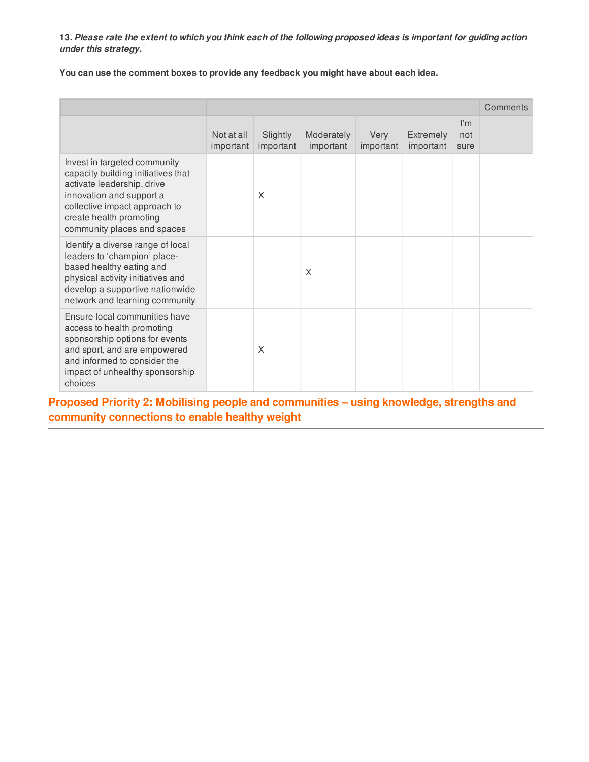**You can use the comment boxes to provide any feedback you might have about each idea.**

|                                                                                                                                                                                                                         |                         |                       |                         |                   |                               |                                        | Comments |
|-------------------------------------------------------------------------------------------------------------------------------------------------------------------------------------------------------------------------|-------------------------|-----------------------|-------------------------|-------------------|-------------------------------|----------------------------------------|----------|
|                                                                                                                                                                                                                         | Not at all<br>important | Slightly<br>important | Moderately<br>important | Very<br>important | <b>Extremely</b><br>important | $\mathsf{I}'\mathsf{m}$<br>not<br>sure |          |
| Invest in targeted community<br>capacity building initiatives that<br>activate leadership, drive<br>innovation and support a<br>collective impact approach to<br>create health promoting<br>community places and spaces |                         | X                     |                         |                   |                               |                                        |          |
| Identify a diverse range of local<br>leaders to 'champion' place-<br>based healthy eating and<br>physical activity initiatives and<br>develop a supportive nationwide<br>network and learning community                 |                         |                       | X                       |                   |                               |                                        |          |
| Ensure local communities have<br>access to health promoting<br>sponsorship options for events<br>and sport, and are empowered<br>and informed to consider the<br>impact of unhealthy sponsorship<br>choices             |                         | X                     |                         |                   |                               |                                        |          |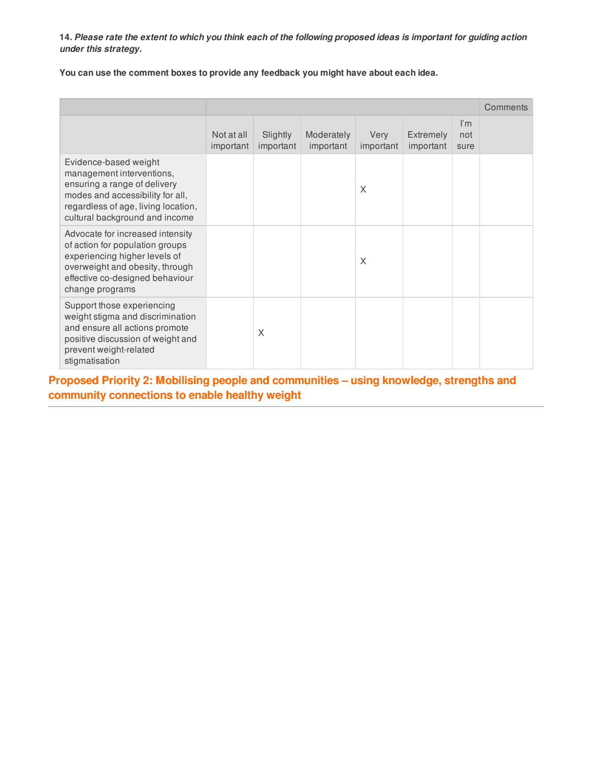**You can use the comment boxes to provide any feedback you might have about each idea.**

|                                                                                                                                                                                                 |                         |                       |                         |                   |                               |                                        | Comments |
|-------------------------------------------------------------------------------------------------------------------------------------------------------------------------------------------------|-------------------------|-----------------------|-------------------------|-------------------|-------------------------------|----------------------------------------|----------|
|                                                                                                                                                                                                 | Not at all<br>important | Slightly<br>important | Moderately<br>important | Very<br>important | <b>Extremely</b><br>important | $\mathsf{I}'\mathsf{m}$<br>not<br>sure |          |
| Evidence-based weight<br>management interventions,<br>ensuring a range of delivery<br>modes and accessibility for all,<br>regardless of age, living location,<br>cultural background and income |                         |                       |                         | X                 |                               |                                        |          |
| Advocate for increased intensity<br>of action for population groups<br>experiencing higher levels of<br>overweight and obesity, through<br>effective co-designed behaviour<br>change programs   |                         |                       |                         | X                 |                               |                                        |          |
| Support those experiencing<br>weight stigma and discrimination<br>and ensure all actions promote<br>positive discussion of weight and<br>prevent weight-related<br>stigmatisation               |                         | X                     |                         |                   |                               |                                        |          |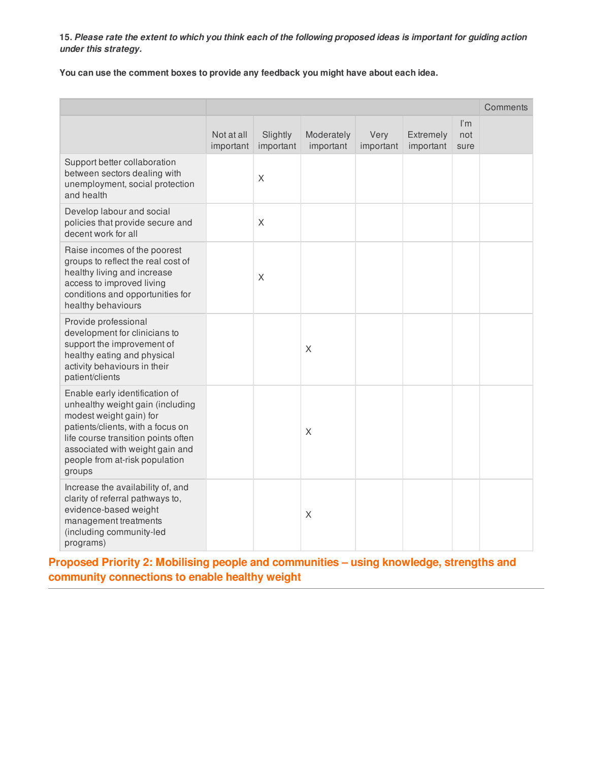**You can use the comment boxes to provide any feedback you might have about each idea.**

|                                                                                                                                                                                                                                                          |                         |                       |                         |                   |                        |                    | Comments |
|----------------------------------------------------------------------------------------------------------------------------------------------------------------------------------------------------------------------------------------------------------|-------------------------|-----------------------|-------------------------|-------------------|------------------------|--------------------|----------|
|                                                                                                                                                                                                                                                          | Not at all<br>important | Slightly<br>important | Moderately<br>important | Very<br>important | Extremely<br>important | l'm<br>not<br>sure |          |
| Support better collaboration<br>between sectors dealing with<br>unemployment, social protection<br>and health                                                                                                                                            |                         | $\sf X$               |                         |                   |                        |                    |          |
| Develop labour and social<br>policies that provide secure and<br>decent work for all                                                                                                                                                                     |                         | X                     |                         |                   |                        |                    |          |
| Raise incomes of the poorest<br>groups to reflect the real cost of<br>healthy living and increase<br>access to improved living<br>conditions and opportunities for<br>healthy behaviours                                                                 |                         | X                     |                         |                   |                        |                    |          |
| Provide professional<br>development for clinicians to<br>support the improvement of<br>healthy eating and physical<br>activity behaviours in their<br>patient/clients                                                                                    |                         |                       | X                       |                   |                        |                    |          |
| Enable early identification of<br>unhealthy weight gain (including<br>modest weight gain) for<br>patients/clients, with a focus on<br>life course transition points often<br>associated with weight gain and<br>people from at-risk population<br>groups |                         |                       | X                       |                   |                        |                    |          |
| Increase the availability of, and<br>clarity of referral pathways to,<br>evidence-based weight<br>management treatments<br>(including community-led<br>programs)                                                                                         |                         |                       | X                       |                   |                        |                    |          |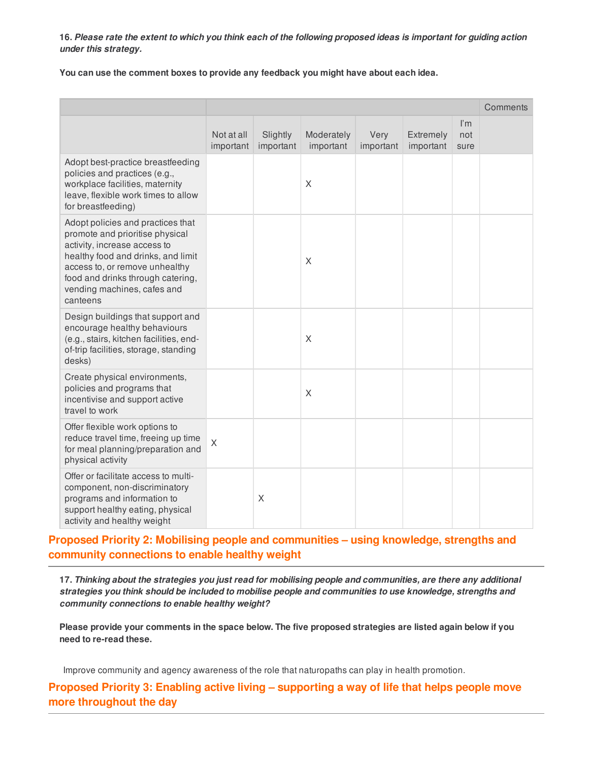**You can use the comment boxes to provide any feedback you might have about each idea.**

|                                                                                                                                                                                                                                                              |                         |                       |                         |                   |                        |                                        | Comments |
|--------------------------------------------------------------------------------------------------------------------------------------------------------------------------------------------------------------------------------------------------------------|-------------------------|-----------------------|-------------------------|-------------------|------------------------|----------------------------------------|----------|
|                                                                                                                                                                                                                                                              | Not at all<br>important | Slightly<br>important | Moderately<br>important | Very<br>important | Extremely<br>important | $\mathsf{I}'\mathsf{m}$<br>not<br>sure |          |
| Adopt best-practice breastfeeding<br>policies and practices (e.g.,<br>workplace facilities, maternity<br>leave, flexible work times to allow<br>for breastfeeding)                                                                                           |                         |                       | X                       |                   |                        |                                        |          |
| Adopt policies and practices that<br>promote and prioritise physical<br>activity, increase access to<br>healthy food and drinks, and limit<br>access to, or remove unhealthy<br>food and drinks through catering,<br>vending machines, cafes and<br>canteens |                         |                       | X                       |                   |                        |                                        |          |
| Design buildings that support and<br>encourage healthy behaviours<br>(e.g., stairs, kitchen facilities, end-<br>of-trip facilities, storage, standing<br>desks)                                                                                              |                         |                       | X                       |                   |                        |                                        |          |
| Create physical environments,<br>policies and programs that<br>incentivise and support active<br>travel to work                                                                                                                                              |                         |                       | X                       |                   |                        |                                        |          |
| Offer flexible work options to<br>reduce travel time, freeing up time<br>for meal planning/preparation and<br>physical activity                                                                                                                              | X                       |                       |                         |                   |                        |                                        |          |
| Offer or facilitate access to multi-<br>component, non-discriminatory<br>programs and information to<br>support healthy eating, physical<br>activity and healthy weight                                                                                      |                         | X                     |                         |                   |                        |                                        |          |

# **Proposed Priority 2: Mobilising people and communities – using knowledge, strengths and community connections to enable healthy weight**

17. Thinking about the strategies you just read for mobilising people and communities, are there any additional *strategies you think should be included to mobilise people and communities to use knowledge, strengths and community connections to enable healthy weight?*

Please provide your comments in the space below. The five proposed strategies are listed again below if you **need to re-read these.**

Improve community and agency awareness of the role that naturopaths can play in health promotion.

**Proposed Priority 3: Enabling active living – supporting a way of life that helps people move more throughout the day**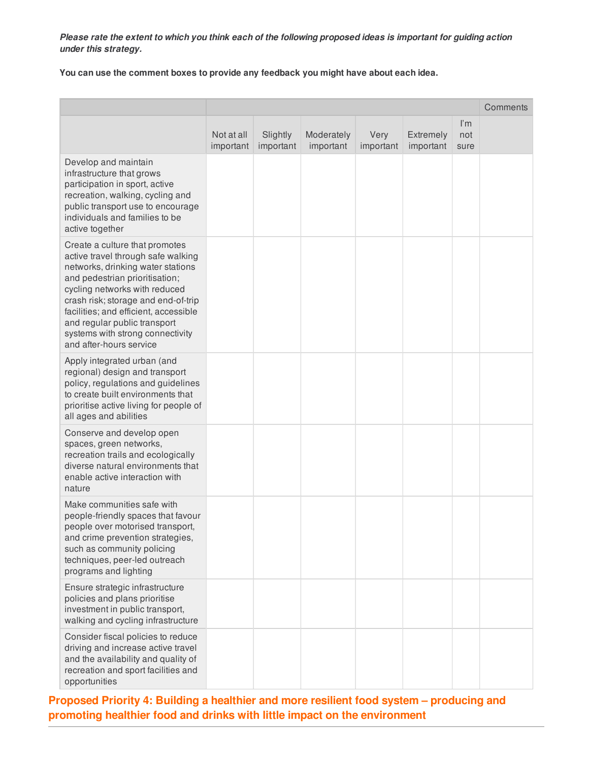**You can use the comment boxes to provide any feedback you might have about each idea.**

|                                                                                                                                                                                                                                                                                                                                                             |                         |                       |                         |                   |                        |                                        | Comments |
|-------------------------------------------------------------------------------------------------------------------------------------------------------------------------------------------------------------------------------------------------------------------------------------------------------------------------------------------------------------|-------------------------|-----------------------|-------------------------|-------------------|------------------------|----------------------------------------|----------|
|                                                                                                                                                                                                                                                                                                                                                             | Not at all<br>important | Slightly<br>important | Moderately<br>important | Very<br>important | Extremely<br>important | $\mathsf{I}'\mathsf{m}$<br>not<br>sure |          |
| Develop and maintain<br>infrastructure that grows<br>participation in sport, active<br>recreation, walking, cycling and<br>public transport use to encourage<br>individuals and families to be<br>active together                                                                                                                                           |                         |                       |                         |                   |                        |                                        |          |
| Create a culture that promotes<br>active travel through safe walking<br>networks, drinking water stations<br>and pedestrian prioritisation;<br>cycling networks with reduced<br>crash risk; storage and end-of-trip<br>facilities; and efficient, accessible<br>and regular public transport<br>systems with strong connectivity<br>and after-hours service |                         |                       |                         |                   |                        |                                        |          |
| Apply integrated urban (and<br>regional) design and transport<br>policy, regulations and guidelines<br>to create built environments that<br>prioritise active living for people of<br>all ages and abilities                                                                                                                                                |                         |                       |                         |                   |                        |                                        |          |
| Conserve and develop open<br>spaces, green networks,<br>recreation trails and ecologically<br>diverse natural environments that<br>enable active interaction with<br>nature                                                                                                                                                                                 |                         |                       |                         |                   |                        |                                        |          |
| Make communities safe with<br>people-friendly spaces that favour<br>people over motorised transport,<br>and crime prevention strategies,<br>such as community policing<br>techniques, peer-led outreach<br>programs and lighting                                                                                                                            |                         |                       |                         |                   |                        |                                        |          |
| Ensure strategic infrastructure<br>policies and plans prioritise<br>investment in public transport,<br>walking and cycling infrastructure                                                                                                                                                                                                                   |                         |                       |                         |                   |                        |                                        |          |
| Consider fiscal policies to reduce<br>driving and increase active travel<br>and the availability and quality of<br>recreation and sport facilities and<br>opportunities                                                                                                                                                                                     |                         |                       |                         |                   |                        |                                        |          |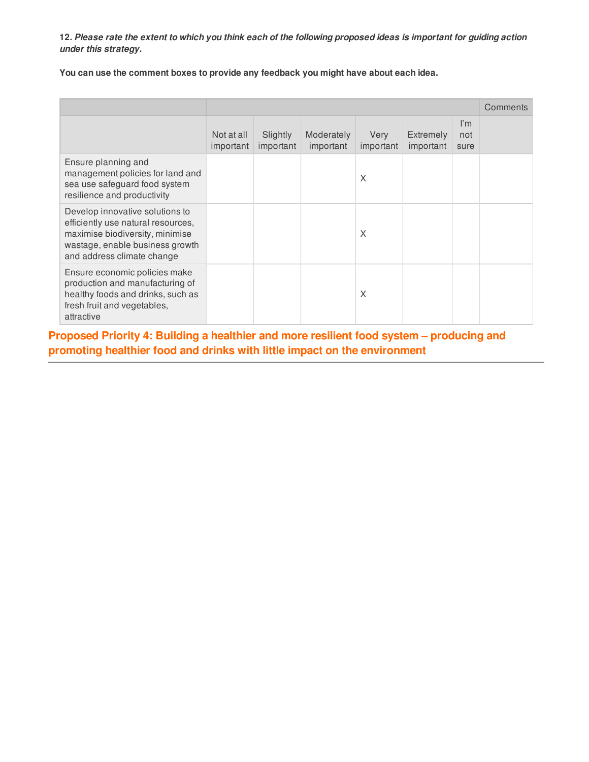**You can use the comment boxes to provide any feedback you might have about each idea.**

|                                                                                                                                                                           |                         |                       |                         |                   |                               |                                        | Comments |
|---------------------------------------------------------------------------------------------------------------------------------------------------------------------------|-------------------------|-----------------------|-------------------------|-------------------|-------------------------------|----------------------------------------|----------|
|                                                                                                                                                                           | Not at all<br>important | Slightly<br>important | Moderately<br>important | Very<br>important | <b>Extremely</b><br>important | $\mathsf{I}'\mathsf{m}$<br>not<br>sure |          |
| Ensure planning and<br>management policies for land and<br>sea use safeguard food system<br>resilience and productivity                                                   |                         |                       |                         | X                 |                               |                                        |          |
| Develop innovative solutions to<br>efficiently use natural resources,<br>maximise biodiversity, minimise<br>wastage, enable business growth<br>and address climate change |                         |                       |                         | X                 |                               |                                        |          |
| Ensure economic policies make<br>production and manufacturing of<br>healthy foods and drinks, such as<br>fresh fruit and vegetables,<br>attractive                        |                         |                       |                         | X                 |                               |                                        |          |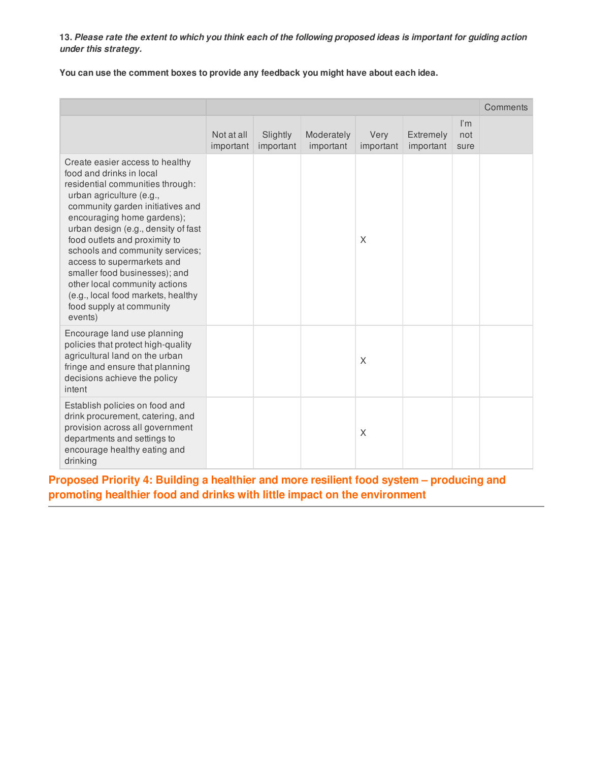**You can use the comment boxes to provide any feedback you might have about each idea.**

|                                                                                                                                                                                                                                                                                                                                                                                                                                                                                       |                         |                       |                         |                   |                               |                                        | Comments |
|---------------------------------------------------------------------------------------------------------------------------------------------------------------------------------------------------------------------------------------------------------------------------------------------------------------------------------------------------------------------------------------------------------------------------------------------------------------------------------------|-------------------------|-----------------------|-------------------------|-------------------|-------------------------------|----------------------------------------|----------|
|                                                                                                                                                                                                                                                                                                                                                                                                                                                                                       | Not at all<br>important | Slightly<br>important | Moderately<br>important | Very<br>important | <b>Extremely</b><br>important | $\mathsf{I}'\mathsf{m}$<br>not<br>sure |          |
| Create easier access to healthy<br>food and drinks in local<br>residential communities through:<br>urban agriculture (e.g.,<br>community garden initiatives and<br>encouraging home gardens);<br>urban design (e.g., density of fast<br>food outlets and proximity to<br>schools and community services;<br>access to supermarkets and<br>smaller food businesses); and<br>other local community actions<br>(e.g., local food markets, healthy<br>food supply at community<br>events) |                         |                       |                         | X                 |                               |                                        |          |
| Encourage land use planning<br>policies that protect high-quality<br>agricultural land on the urban<br>fringe and ensure that planning<br>decisions achieve the policy<br>intent                                                                                                                                                                                                                                                                                                      |                         |                       |                         | X                 |                               |                                        |          |
| Establish policies on food and<br>drink procurement, catering, and<br>provision across all government<br>departments and settings to<br>encourage healthy eating and<br>drinking                                                                                                                                                                                                                                                                                                      |                         |                       |                         | X                 |                               |                                        |          |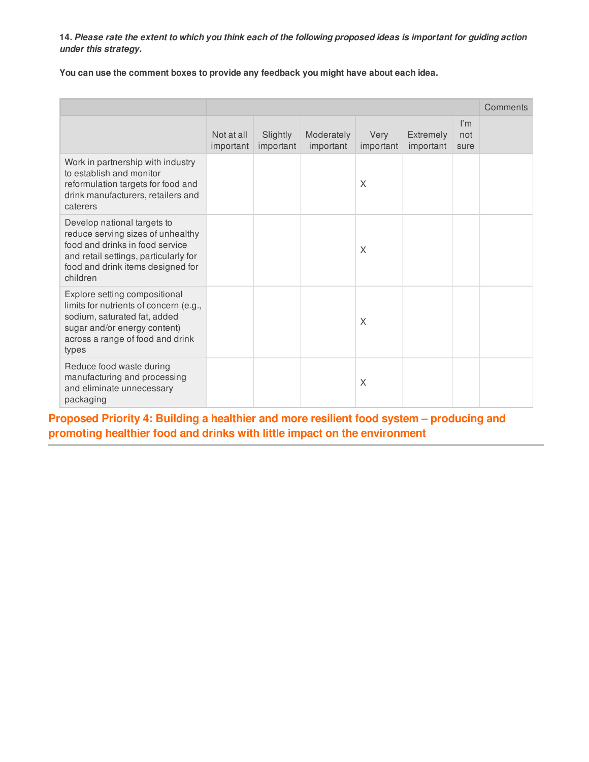**You can use the comment boxes to provide any feedback you might have about each idea.**

|                                                                                                                                                                                               |                         |                       |                         |                   |                        |                                        | Comments |
|-----------------------------------------------------------------------------------------------------------------------------------------------------------------------------------------------|-------------------------|-----------------------|-------------------------|-------------------|------------------------|----------------------------------------|----------|
|                                                                                                                                                                                               | Not at all<br>important | Slightly<br>important | Moderately<br>important | Very<br>important | Extremely<br>important | $\mathsf{I}'\mathsf{m}$<br>not<br>sure |          |
| Work in partnership with industry<br>to establish and monitor<br>reformulation targets for food and<br>drink manufacturers, retailers and<br>caterers                                         |                         |                       |                         | X                 |                        |                                        |          |
| Develop national targets to<br>reduce serving sizes of unhealthy<br>food and drinks in food service<br>and retail settings, particularly for<br>food and drink items designed for<br>children |                         |                       |                         | X                 |                        |                                        |          |
| Explore setting compositional<br>limits for nutrients of concern (e.g.,<br>sodium, saturated fat, added<br>sugar and/or energy content)<br>across a range of food and drink<br>types          |                         |                       |                         | X                 |                        |                                        |          |
| Reduce food waste during<br>manufacturing and processing<br>and eliminate unnecessary<br>packaging                                                                                            |                         |                       |                         | X                 |                        |                                        |          |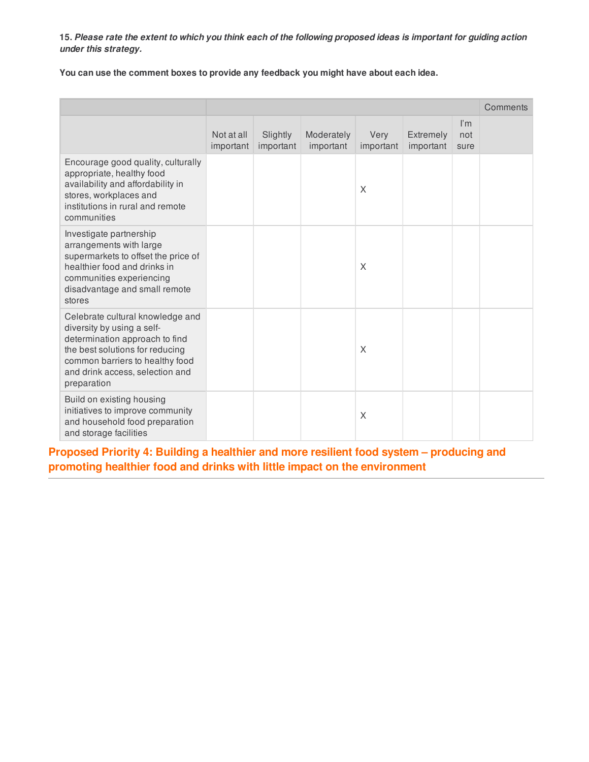**You can use the comment boxes to provide any feedback you might have about each idea.**

|                                                                                                                                                                                                                          |                         |                       |                         |                   |                        |                                        | Comments |
|--------------------------------------------------------------------------------------------------------------------------------------------------------------------------------------------------------------------------|-------------------------|-----------------------|-------------------------|-------------------|------------------------|----------------------------------------|----------|
|                                                                                                                                                                                                                          | Not at all<br>important | Slightly<br>important | Moderately<br>important | Very<br>important | Extremely<br>important | $\mathsf{I}'\mathsf{m}$<br>not<br>sure |          |
| Encourage good quality, culturally<br>appropriate, healthy food<br>availability and affordability in<br>stores, workplaces and<br>institutions in rural and remote<br>communities                                        |                         |                       |                         | X                 |                        |                                        |          |
| Investigate partnership<br>arrangements with large<br>supermarkets to offset the price of<br>healthier food and drinks in<br>communities experiencing<br>disadvantage and small remote<br>stores                         |                         |                       |                         | X                 |                        |                                        |          |
| Celebrate cultural knowledge and<br>diversity by using a self-<br>determination approach to find<br>the best solutions for reducing<br>common barriers to healthy food<br>and drink access, selection and<br>preparation |                         |                       |                         | X                 |                        |                                        |          |
| Build on existing housing<br>initiatives to improve community<br>and household food preparation<br>and storage facilities                                                                                                |                         |                       |                         | X                 |                        |                                        |          |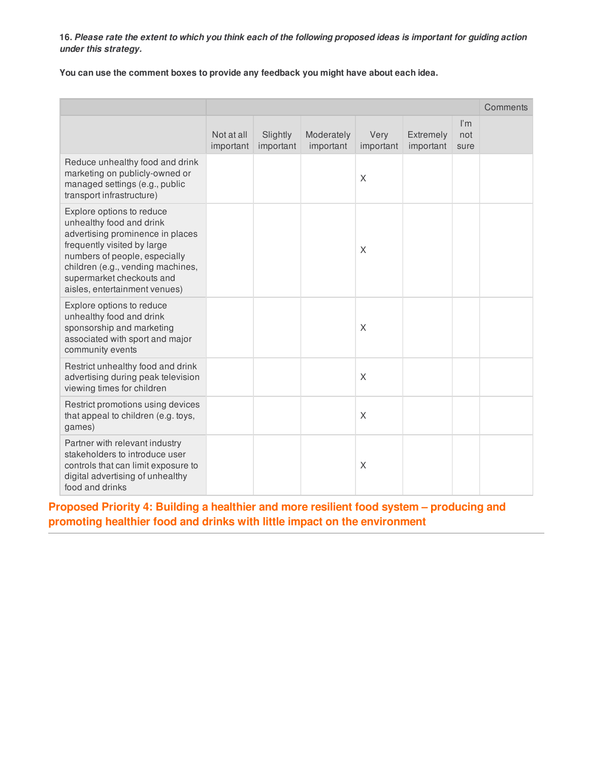**You can use the comment boxes to provide any feedback you might have about each idea.**

|                                                                                                                                                                                                                                                              |                         |                       |                         |                   |                        |                                        | Comments |
|--------------------------------------------------------------------------------------------------------------------------------------------------------------------------------------------------------------------------------------------------------------|-------------------------|-----------------------|-------------------------|-------------------|------------------------|----------------------------------------|----------|
|                                                                                                                                                                                                                                                              | Not at all<br>important | Slightly<br>important | Moderately<br>important | Very<br>important | Extremely<br>important | $\mathsf{I}'\mathsf{m}$<br>not<br>sure |          |
| Reduce unhealthy food and drink<br>marketing on publicly-owned or<br>managed settings (e.g., public<br>transport infrastructure)                                                                                                                             |                         |                       |                         | X                 |                        |                                        |          |
| Explore options to reduce<br>unhealthy food and drink<br>advertising prominence in places<br>frequently visited by large<br>numbers of people, especially<br>children (e.g., vending machines,<br>supermarket checkouts and<br>aisles, entertainment venues) |                         |                       |                         | X                 |                        |                                        |          |
| Explore options to reduce<br>unhealthy food and drink<br>sponsorship and marketing<br>associated with sport and major<br>community events                                                                                                                    |                         |                       |                         | X                 |                        |                                        |          |
| Restrict unhealthy food and drink<br>advertising during peak television<br>viewing times for children                                                                                                                                                        |                         |                       |                         | X                 |                        |                                        |          |
| Restrict promotions using devices<br>that appeal to children (e.g. toys,<br>games)                                                                                                                                                                           |                         |                       |                         | $\times$          |                        |                                        |          |
| Partner with relevant industry<br>stakeholders to introduce user<br>controls that can limit exposure to<br>digital advertising of unhealthy<br>food and drinks                                                                                               |                         |                       |                         | X                 |                        |                                        |          |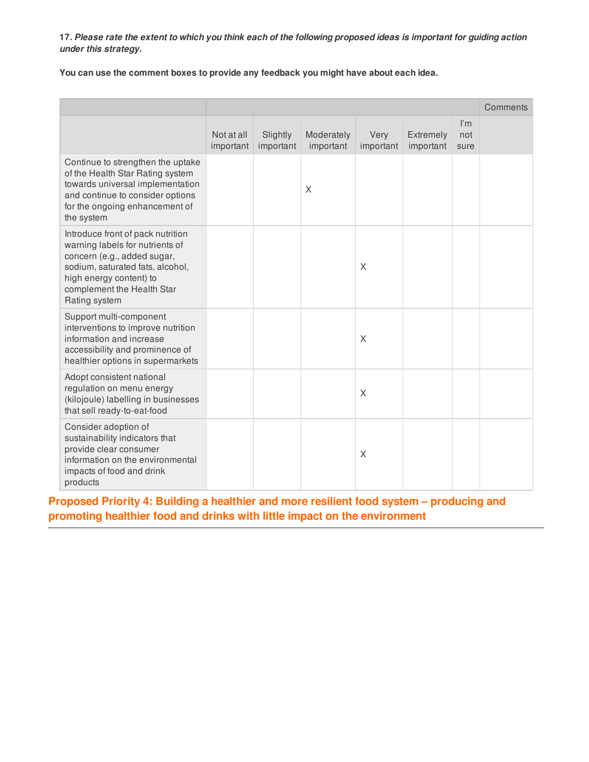**You can use the comment boxes to provide any feedback you might have about each idea.**

|                                                                                                                                                                                                                   |                         |                       |                         |                   |                        |                                        | Comments |
|-------------------------------------------------------------------------------------------------------------------------------------------------------------------------------------------------------------------|-------------------------|-----------------------|-------------------------|-------------------|------------------------|----------------------------------------|----------|
|                                                                                                                                                                                                                   | Not at all<br>important | Slightly<br>important | Moderately<br>important | Very<br>important | Extremely<br>important | $\mathsf{I}'\mathsf{m}$<br>not<br>sure |          |
| Continue to strengthen the uptake<br>of the Health Star Rating system<br>towards universal implementation<br>and continue to consider options<br>for the ongoing enhancement of<br>the system                     |                         |                       | X                       |                   |                        |                                        |          |
| Introduce front of pack nutrition<br>warning labels for nutrients of<br>concern (e.g., added sugar,<br>sodium, saturated fats, alcohol,<br>high energy content) to<br>complement the Health Star<br>Rating system |                         |                       |                         | X                 |                        |                                        |          |
| Support multi-component<br>interventions to improve nutrition<br>information and increase<br>accessibility and prominence of<br>healthier options in supermarkets                                                 |                         |                       |                         | X                 |                        |                                        |          |
| Adopt consistent national<br>regulation on menu energy<br>(kilojoule) labelling in businesses<br>that sell ready-to-eat-food                                                                                      |                         |                       |                         | X                 |                        |                                        |          |
| Consider adoption of<br>sustainability indicators that<br>provide clear consumer<br>information on the environmental<br>impacts of food and drink<br>products                                                     |                         |                       |                         | X                 |                        |                                        |          |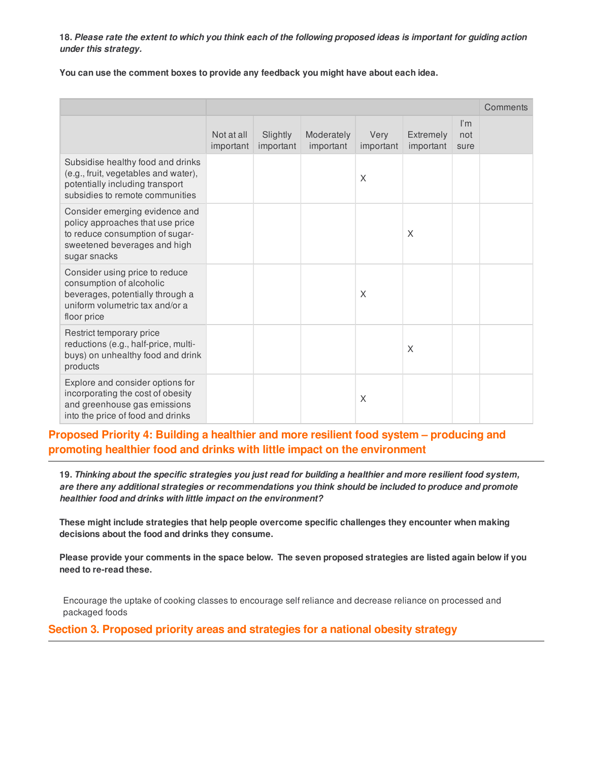**You can use the comment boxes to provide any feedback you might have about each idea.**

|                                                                                                                                                       |                         |                       |                         |                   |                               |                                        | Comments |
|-------------------------------------------------------------------------------------------------------------------------------------------------------|-------------------------|-----------------------|-------------------------|-------------------|-------------------------------|----------------------------------------|----------|
|                                                                                                                                                       | Not at all<br>important | Slightly<br>important | Moderately<br>important | Very<br>important | <b>Extremely</b><br>important | $\mathsf{I}'\mathsf{m}$<br>not<br>sure |          |
| Subsidise healthy food and drinks<br>(e.g., fruit, vegetables and water),<br>potentially including transport<br>subsidies to remote communities       |                         |                       |                         | X                 |                               |                                        |          |
| Consider emerging evidence and<br>policy approaches that use price<br>to reduce consumption of sugar-<br>sweetened beverages and high<br>sugar snacks |                         |                       |                         |                   | X                             |                                        |          |
| Consider using price to reduce<br>consumption of alcoholic<br>beverages, potentially through a<br>uniform volumetric tax and/or a<br>floor price      |                         |                       |                         | X                 |                               |                                        |          |
| Restrict temporary price<br>reductions (e.g., half-price, multi-<br>buys) on unhealthy food and drink<br>products                                     |                         |                       |                         |                   | X                             |                                        |          |
| Explore and consider options for<br>incorporating the cost of obesity<br>and greenhouse gas emissions<br>into the price of food and drinks            |                         |                       |                         | X                 |                               |                                        |          |

# **Proposed Priority 4: Building a healthier and more resilient food system – producing and promoting healthier food and drinks with little impact on the environment**

19. Thinking about the specific strategies you just read for building a healthier and more resilient food system, *are there any additional strategies or recommendations you think should be included to produce and promote healthier food and drinks with little impact on the environment?*

**These might include strategies that help people overcome specific challenges they encounter when making decisions about the food and drinks they consume.**

Please provide your comments in the space below. The seven proposed strategies are listed again below if you **need to re-read these.**

Encourage the uptake of cooking classes to encourage self reliance and decrease reliance on processed and packaged foods

**Section 3. Proposed priority areas and strategies for a national obesity strategy**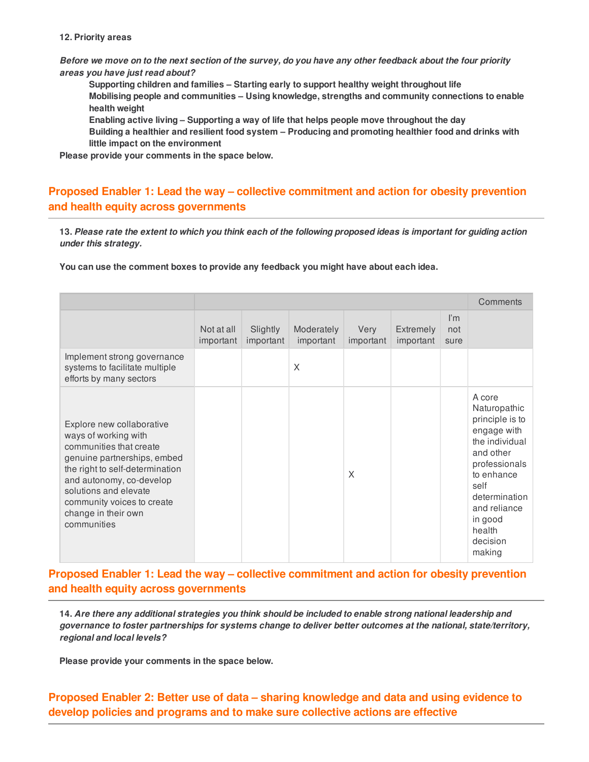#### **12. Priority areas**

Before we move on to the next section of the survey, do you have any other feedback about the four priority *areas you have just read about?*

**Supporting children and families – Starting early to support healthy weight throughout life Mobilising people and communities – Using knowledge, strengths and community connections to enable health weight**

**Enabling active living – Supporting a way of life that helps people move throughout the day**

**Building a healthier and resilient food system – Producing and promoting healthier food and drinks with little impact on the environment**

**Please provide your comments in the space below.**

# **Proposed Enabler 1: Lead the way – collective commitment and action for obesity prevention and health equity across governments**

13. Please rate the extent to which you think each of the following proposed ideas is important for guiding action *under this strategy.*

**You can use the comment boxes to provide any feedback you might have about each idea.**

|                                                                                                                                                                                                                                                                         |                         |                       |                         |                   |                        |                                        | Comments                                                                                                                                                                                                   |
|-------------------------------------------------------------------------------------------------------------------------------------------------------------------------------------------------------------------------------------------------------------------------|-------------------------|-----------------------|-------------------------|-------------------|------------------------|----------------------------------------|------------------------------------------------------------------------------------------------------------------------------------------------------------------------------------------------------------|
|                                                                                                                                                                                                                                                                         | Not at all<br>important | Slightly<br>important | Moderately<br>important | Very<br>important | Extremely<br>important | $\mathsf{I}'\mathsf{m}$<br>not<br>sure |                                                                                                                                                                                                            |
| Implement strong governance<br>systems to facilitate multiple<br>efforts by many sectors                                                                                                                                                                                |                         |                       | X                       |                   |                        |                                        |                                                                                                                                                                                                            |
| Explore new collaborative<br>ways of working with<br>communities that create<br>genuine partnerships, embed<br>the right to self-determination<br>and autonomy, co-develop<br>solutions and elevate<br>community voices to create<br>change in their own<br>communities |                         |                       |                         | X                 |                        |                                        | A core<br>Naturopathic<br>principle is to<br>engage with<br>the individual<br>and other<br>professionals<br>to enhance<br>self<br>determination<br>and reliance<br>in good<br>health<br>decision<br>making |

# **Proposed Enabler 1: Lead the way – collective commitment and action for obesity prevention and health equity across governments**

14. Are there any additional strategies you think should be included to enable strong national leadership and *governance to foster partnerships for systems change to deliver better outcomes at the national, state/territory, regional and local levels?*

**Please provide your comments in the space below.**

**Proposed Enabler 2: Better use of data – sharing knowledge and data and using evidence to develop policies and programs and to make sure collective actions are effective**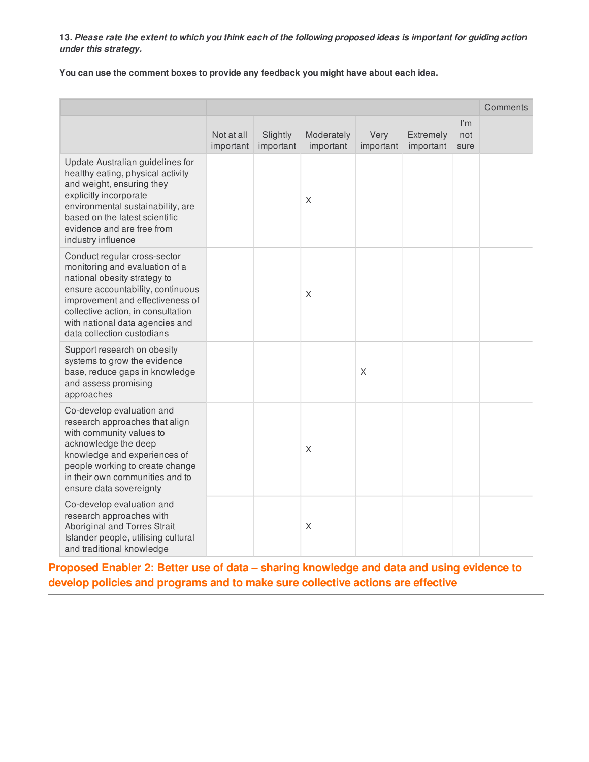**You can use the comment boxes to provide any feedback you might have about each idea.**

|                                                                                                                                                                                                                                                                                |                         |                       |                         |                   |                        |                    | Comments |
|--------------------------------------------------------------------------------------------------------------------------------------------------------------------------------------------------------------------------------------------------------------------------------|-------------------------|-----------------------|-------------------------|-------------------|------------------------|--------------------|----------|
|                                                                                                                                                                                                                                                                                | Not at all<br>important | Slightly<br>important | Moderately<br>important | Very<br>important | Extremely<br>important | l'm<br>not<br>sure |          |
| Update Australian guidelines for<br>healthy eating, physical activity<br>and weight, ensuring they<br>explicitly incorporate<br>environmental sustainability, are<br>based on the latest scientific<br>evidence and are free from<br>industry influence                        |                         |                       | $\times$                |                   |                        |                    |          |
| Conduct regular cross-sector<br>monitoring and evaluation of a<br>national obesity strategy to<br>ensure accountability, continuous<br>improvement and effectiveness of<br>collective action, in consultation<br>with national data agencies and<br>data collection custodians |                         |                       | X                       |                   |                        |                    |          |
| Support research on obesity<br>systems to grow the evidence<br>base, reduce gaps in knowledge<br>and assess promising<br>approaches                                                                                                                                            |                         |                       |                         | X                 |                        |                    |          |
| Co-develop evaluation and<br>research approaches that align<br>with community values to<br>acknowledge the deep<br>knowledge and experiences of<br>people working to create change<br>in their own communities and to<br>ensure data sovereignty                               |                         |                       | $\times$                |                   |                        |                    |          |
| Co-develop evaluation and<br>research approaches with<br>Aboriginal and Torres Strait<br>Islander people, utilising cultural<br>and traditional knowledge                                                                                                                      |                         |                       | X                       |                   |                        |                    |          |

**Proposed Enabler 2: Better use of data – sharing knowledge and data and using evidence to develop policies and programs and to make sure collective actions are effective**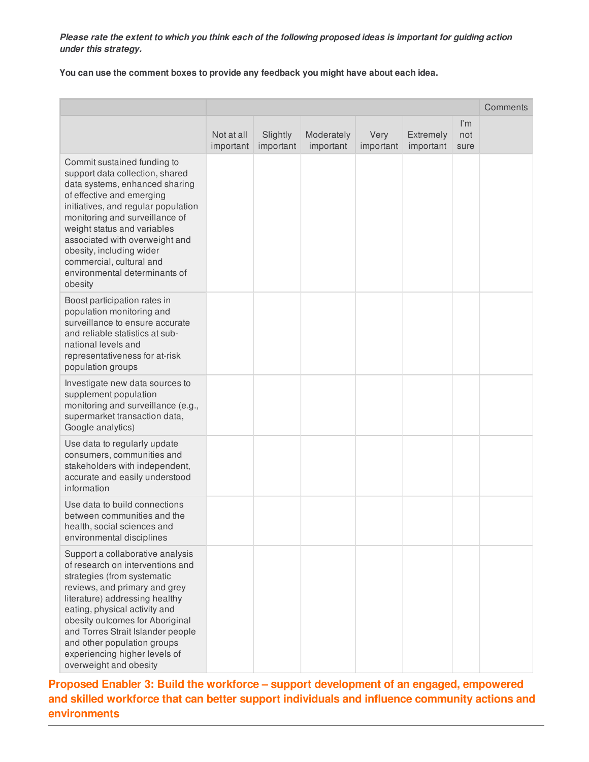**You can use the comment boxes to provide any feedback you might have about each idea.**

|                                                                                                                                                                                                                                                                                                                                                                             |                         |                       |                         |                   |                        |                                        | Comments |
|-----------------------------------------------------------------------------------------------------------------------------------------------------------------------------------------------------------------------------------------------------------------------------------------------------------------------------------------------------------------------------|-------------------------|-----------------------|-------------------------|-------------------|------------------------|----------------------------------------|----------|
|                                                                                                                                                                                                                                                                                                                                                                             | Not at all<br>important | Slightly<br>important | Moderately<br>important | Very<br>important | Extremely<br>important | $\mathsf{I}'\mathsf{m}$<br>not<br>sure |          |
| Commit sustained funding to<br>support data collection, shared<br>data systems, enhanced sharing<br>of effective and emerging<br>initiatives, and regular population<br>monitoring and surveillance of<br>weight status and variables<br>associated with overweight and<br>obesity, including wider<br>commercial, cultural and<br>environmental determinants of<br>obesity |                         |                       |                         |                   |                        |                                        |          |
| Boost participation rates in<br>population monitoring and<br>surveillance to ensure accurate<br>and reliable statistics at sub-<br>national levels and<br>representativeness for at-risk<br>population groups                                                                                                                                                               |                         |                       |                         |                   |                        |                                        |          |
| Investigate new data sources to<br>supplement population<br>monitoring and surveillance (e.g.,<br>supermarket transaction data,<br>Google analytics)                                                                                                                                                                                                                        |                         |                       |                         |                   |                        |                                        |          |
| Use data to regularly update<br>consumers, communities and<br>stakeholders with independent,<br>accurate and easily understood<br>information                                                                                                                                                                                                                               |                         |                       |                         |                   |                        |                                        |          |
| Use data to build connections<br>between communities and the<br>health, social sciences and<br>environmental disciplines                                                                                                                                                                                                                                                    |                         |                       |                         |                   |                        |                                        |          |
| Support a collaborative analysis<br>of research on interventions and<br>strategies (from systematic<br>reviews, and primary and grey<br>literature) addressing healthy<br>eating, physical activity and<br>obesity outcomes for Aboriginal<br>and Torres Strait Islander people<br>and other population groups<br>experiencing higher levels of<br>overweight and obesity   |                         |                       |                         |                   |                        |                                        |          |

**Proposed Enabler 3: Build the workforce – support development of an engaged, empowered and skilled workforce that can better support individuals and influence community actions and environments**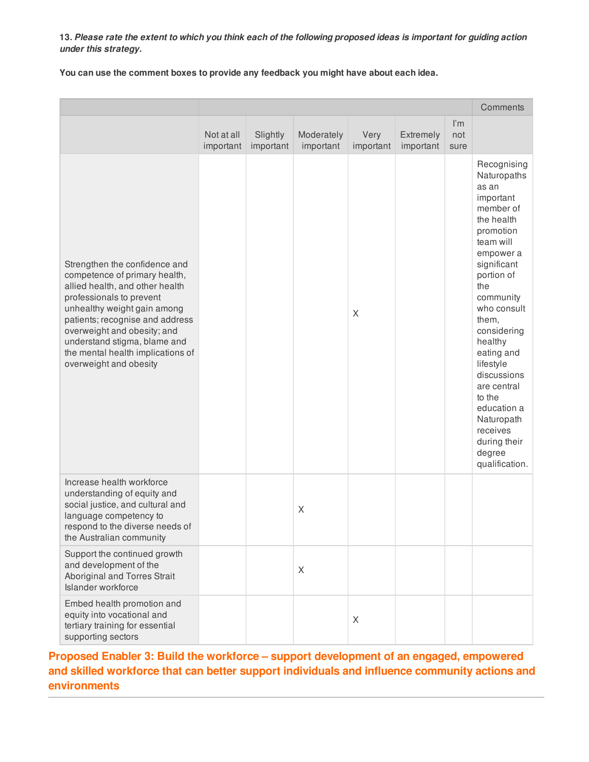**You can use the comment boxes to provide any feedback you might have about each idea.**

|                                                                                                                                                                                                                                                                                                                               |                         |                       |                         |                   |                        |                                        | Comments                                                                                                                                                                                                                                                                                                                                                                      |
|-------------------------------------------------------------------------------------------------------------------------------------------------------------------------------------------------------------------------------------------------------------------------------------------------------------------------------|-------------------------|-----------------------|-------------------------|-------------------|------------------------|----------------------------------------|-------------------------------------------------------------------------------------------------------------------------------------------------------------------------------------------------------------------------------------------------------------------------------------------------------------------------------------------------------------------------------|
|                                                                                                                                                                                                                                                                                                                               | Not at all<br>important | Slightly<br>important | Moderately<br>important | Very<br>important | Extremely<br>important | $\mathsf{I}'\mathsf{m}$<br>not<br>sure |                                                                                                                                                                                                                                                                                                                                                                               |
| Strengthen the confidence and<br>competence of primary health,<br>allied health, and other health<br>professionals to prevent<br>unhealthy weight gain among<br>patients; recognise and address<br>overweight and obesity; and<br>understand stigma, blame and<br>the mental health implications of<br>overweight and obesity |                         |                       |                         | $\times$          |                        |                                        | Recognising<br>Naturopaths<br>as an<br>important<br>member of<br>the health<br>promotion<br>team will<br>empower a<br>significant<br>portion of<br>the<br>community<br>who consult<br>them,<br>considering<br>healthy<br>eating and<br>lifestyle<br>discussions<br>are central<br>to the<br>education a<br>Naturopath<br>receives<br>during their<br>degree<br>qualification. |
| Increase health workforce<br>understanding of equity and<br>social justice, and cultural and<br>language competency to<br>respond to the diverse needs of<br>the Australian community                                                                                                                                         |                         |                       | X                       |                   |                        |                                        |                                                                                                                                                                                                                                                                                                                                                                               |
| Support the continued growth<br>and development of the<br>Aboriginal and Torres Strait<br>Islander workforce                                                                                                                                                                                                                  |                         |                       | X                       |                   |                        |                                        |                                                                                                                                                                                                                                                                                                                                                                               |
| Embed health promotion and<br>equity into vocational and<br>tertiary training for essential<br>supporting sectors                                                                                                                                                                                                             |                         |                       |                         | X                 |                        |                                        |                                                                                                                                                                                                                                                                                                                                                                               |

**Proposed Enabler 3: Build the workforce – support development of an engaged, empowered and skilled workforce that can better support individuals and influence community actions and environments**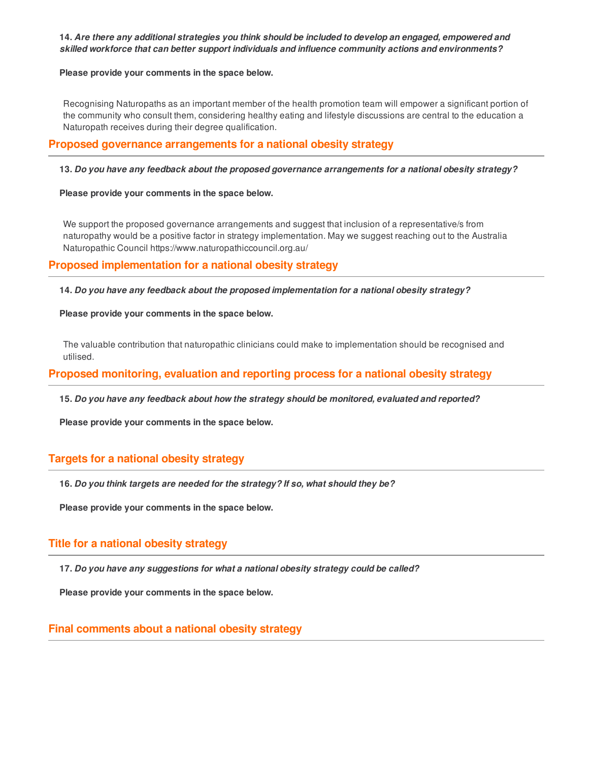### **14.** *Are there any additional strategies you think should be included to develop an engaged, empowered and skilled workforce that can better support individuals and influence community actions and environments?*

#### **Please provide your comments in the space below.**

Recognising Naturopaths as an important member of the health promotion team will empower a significant portion of the community who consult them, considering healthy eating and lifestyle discussions are central to the education a Naturopath receives during their degree qualification.

### **Proposed governance arrangements for a national obesity strategy**

### **13.** *Do you have any feedback about the proposed governance arrangements for a national obesity strategy?*

#### **Please provide your comments in the space below.**

We support the proposed governance arrangements and suggest that inclusion of a representative/s from naturopathy would be a positive factor in strategy implementation. May we suggest reaching out to the Australia Naturopathic Council https://www.naturopathiccouncil.org.au/

### **Proposed implementation for a national obesity strategy**

**14.** *Do you have any feedback about the proposed implementation for a national obesity strategy?*

#### **Please provide your comments in the space below.**

The valuable contribution that naturopathic clinicians could make to implementation should be recognised and utilised.

### **Proposed monitoring, evaluation and reporting process for a national obesity strategy**

**15.** *Do you have any feedback about how the strategy should be monitored, evaluated and reported?*

**Please provide your comments in the space below.**

### **Targets for a national obesity strategy**

**16.** *Do you think targets are needed for the strategy? If so, what should they be?*

**Please provide your comments in the space below.**

### **Title for a national obesity strategy**

**17.** *Do you have any suggestions for what a national obesity strategy could be called?*

**Please provide your comments in the space below.**

### **Final comments about a national obesity strategy**